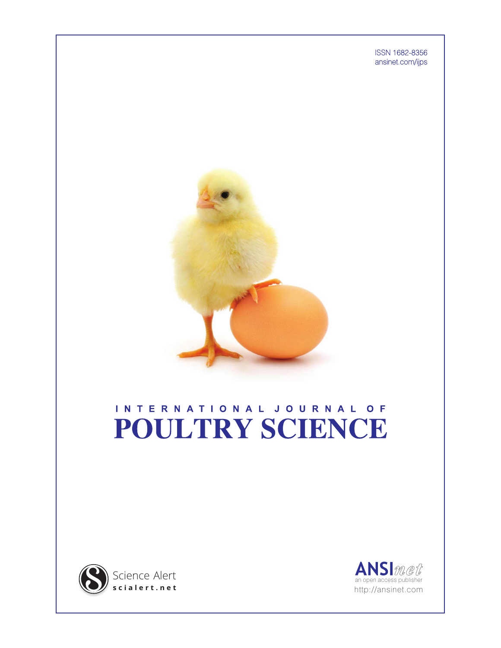ISSN 1682-8356 ansinet.com/ijps



# INTERNATIONAL JOURNAL OF **POULTRY SCIENCE**



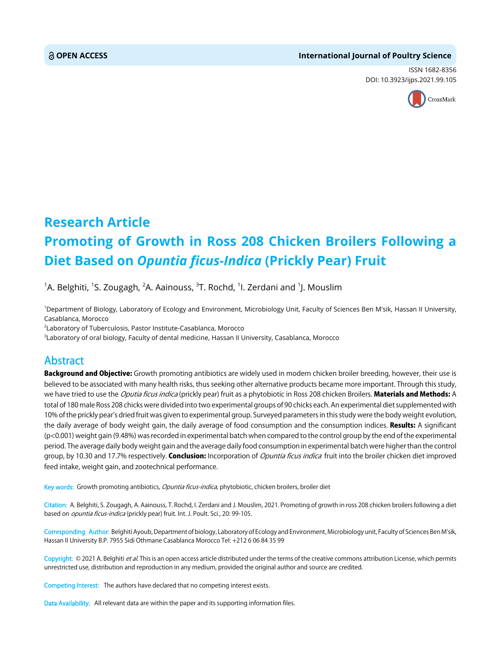#### **OPEN ACCESS International Journal of Poultry Science**

ISSN 1682-8356 DOI: 10.3923/ijps.2021.99.105



## **Research Article Promoting of Growth in Ross 208 Chicken Broilers Following a Diet Based on** *Opuntia ficus-Indica* **(Prickly Pear) Fruit**

 $^{\rm 1}$ A. Belghiti,  $^{\rm 1}$ S. Zougagh,  $^{\rm 2}$ A. Aainouss,  $^{\rm 3}$ T. Rochd,  $^{\rm 1}$ I. Zerdani and  $^{\rm 1}$ J. Mouslim

1 Department of Biology, Laboratory of Ecology and Environment, Microbiology Unit, Faculty of Sciences Ben M'sik, Hassan II University, Casablanca, Morocco

 $^{2}$ Laboratory of Tuberculosis, Pastor Institute-Casablanca, Morocco

3 Laboratory of oral biology, Faculty of dental medicine, Hassan II University, Casablanca, Morocco

### Abstract

Background and Objective: Growth promoting antibiotics are widely used in modern chicken broiler breeding, however, their use is believed to be associated with many health risks, thus seeking other alternative products became more important. Through this study, we have tried to use the *Oputia ficus indica* (prickly pear) fruit as a phytobiotic in Ross 208 chicken Broilers. **Materials and Methods:** A total of 180 male Ross 208 chicks were divided into two experimental groups of 90 chicks each. An experimental diet supplemented with 10% of the prickly pear's dried fruit was given to experimental group. Surveyed parameters in this study were the body weight evolution, the daily average of body weight gain, the daily average of food consumption and the consumption indices. **Results:** A significant (p<0.001) weight gain (9.48%) was recorded in experimental batch when compared to the control group by the end of the experimental period. The average daily body weight gain and the average daily food consumption in experimental batch were higher than the control group, by 10.30 and 17.7% respectively. Conclusion: Incorporation of *Opuntia ficus indica* fruit into the broiler chicken diet improved feed intake, weight gain, and zootechnical performance.

Key words: Growth promoting antibiotics, Opuntia ficus-indica, phytobiotic, chicken broilers, broiler diet

Citation: A. Belghiti, S. Zougagh, A. Aainouss, T. Rochd, I. Zerdani and J. Mouslim, 2021. Promoting of growth in ross 208 chicken broilers following a diet based on *opuntia ficus-indica* (prickly pear) fruit. Int. J. Poult. Sci., 20: 99-105.

Corresponding Author: Belghiti Ayoub, Department of biology, Laboratory of Ecology and Environment, Microbiology unit, Faculty of Sciences Ben M'sik, Hassan II University B.P. 7955 Sidi Othmane Casablanca Morocco Tel: +212 6 06 84 35 99

Copyright: © 2021 A. Belghiti et al. This is an open access article distributed under the terms of the creative commons attribution License, which permits unrestricted use, distribution and reproduction in any medium, provided the original author and source are credited.

Competing Interest: The authors have declared that no competing interest exists.

Data Availability: All relevant data are within the paper and its supporting information files.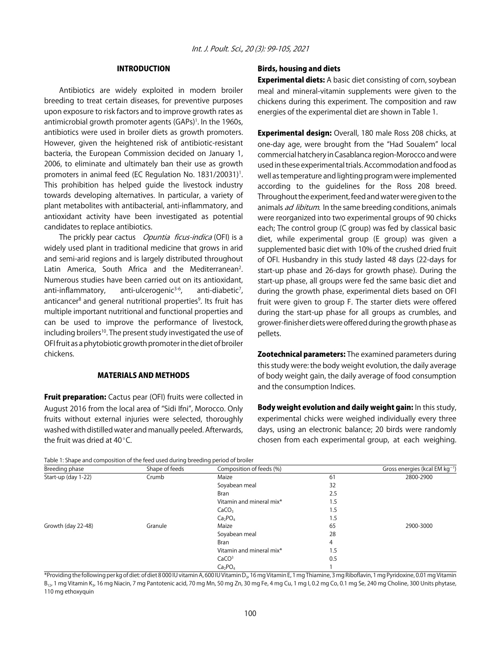#### INTRODUCTION

Antibiotics are widely exploited in modern broiler breeding to treat certain diseases, for preventive purposes upon exposure to risk factors and to improve growth rates as antimicrobial growth promoter agents (GAPs)<sup>1</sup>. In the 1960s, antibiotics were used in broiler diets as growth promoters. However, given the heightened risk of antibiotic-resistant bacteria, the European Commission decided on January 1, 2006, to eliminate and ultimately ban their use as growth promoters in animal feed (EC Regulation No. 1831/20031)<sup>1</sup>. This prohibition has helped guide the livestock industry towards developing alternatives. In particular, a variety of plant metabolites with antibacterial, anti-inflammatory, and antioxidant activity have been investigated as potential candidates to replace antibiotics.

The prickly pear cactus *Opuntia ficus-indica* (OFI) is a widely used plant in traditional medicine that grows in arid and semi-arid regions and is largely distributed throughout Latin America, South Africa and the Mediterranean<sup>2</sup>. Numerous studies have been carried out on its antioxidant, anti-inflammatory, anti-ulcerogenic $3-6$ , anti-diabetic<sup>7</sup>. anticancer<sup>8</sup> and general nutritional properties<sup>9</sup>. Its fruit has multiple important nutritional and functional properties and can be used to improve the performance of livestock, including broilers<sup>10</sup>. The present study investigated the use of OFI fruit as a phytobiotic growth promoter in the diet of broiler chickens.

#### MATERIALS AND METHODS

**Fruit preparation:** Cactus pear (OFI) fruits were collected in August 2016 from the local area of "Sidi Ifni", Morocco. Only fruits without external injuries were selected, thoroughly washed with distilled water and manually peeled. Afterwards, the fruit was dried at  $40^{\circ}$ C.

#### Birds, housing and diets

**Experimental diets:** A basic diet consisting of corn, soybean meal and mineral-vitamin supplements were given to the chickens during this experiment. The composition and raw energies of the experimental diet are shown in Table 1.

Experimental design: Overall, 180 male Ross 208 chicks, at one-day age, were brought from the "Had Soualem" local commercial hatchery in Casablanca region-Morocco and were used in these experimental trials. Accommodation and food as well as temperature and lighting program were implemented according to the guidelines for the Ross 208 breed. Throughout the experiment, feed and water were given to the animals *ad libitum*. In the same breeding conditions, animals were reorganized into two experimental groups of 90 chicks each; The control group (C group) was fed by classical basic diet, while experimental group (E group) was given a supplemented basic diet with 10% of the crushed dried fruit of OFI. Husbandry in this study lasted 48 days (22-days for start-up phase and 26-days for growth phase). During the start-up phase, all groups were fed the same basic diet and during the growth phase, experimental diets based on OFI fruit were given to group F. The starter diets were offered during the start-up phase for all groups as crumbles, and grower-finisher diets were offered during the growth phase as pellets.

**Zootechnical parameters:** The examined parameters during this study were: the body weight evolution, the daily average of body weight gain, the daily average of food consumption and the consumption Indices.

Body weight evolution and daily weight gain: In this study, experimental chicks were weighed individually every three days, using an electronic balance; 20 birds were randomly chosen from each experimental group, at each weighing.

| Table 1: Shape and composition of the feed used during breeding period of broiler |  |
|-----------------------------------------------------------------------------------|--|
|-----------------------------------------------------------------------------------|--|

| Breeding phase      | Shape of feeds | Composition of feeds (%)        |     | Gross energies (kcal EM $kg^{-1}$ ) |
|---------------------|----------------|---------------------------------|-----|-------------------------------------|
| Start-up (day 1-22) | Crumb          | Maize                           | 61  | 2800-2900                           |
|                     |                | Soyabean meal                   | 32  |                                     |
|                     |                | <b>Bran</b>                     | 2.5 |                                     |
|                     |                | Vitamin and mineral mix*        | 1.5 |                                     |
|                     |                | CaCO <sub>3</sub>               | 1.5 |                                     |
|                     |                | Ca <sub>2</sub> PO <sub>4</sub> | 1.5 |                                     |
| Growth (day 22-48)  | Granule        | Maize                           | 65  | 2900-3000                           |
|                     |                | Soyabean meal                   | 28  |                                     |
|                     |                | <b>Bran</b>                     | 4   |                                     |
|                     |                | Vitamin and mineral mix*        | 1.5 |                                     |
|                     |                | CaCO <sup>3</sup>               | 0.5 |                                     |
|                     |                | Ca <sub>2</sub> PO <sub>4</sub> |     |                                     |

\*Providing the following per kg of diet: of diet 8 000 IU vitamin A, 600 IU Vitamin D3, 16 mg Vitamin E, 1 mg Thiamine, 3 mg Riboflavin, 1 mg Pyridoxine, 0.01 mg Vitamin  $B_{12}$ , 1 mg Vitamin K<sub>3</sub>, 16 mg Niacin, 7 mg Pantotenic acid, 70 mg Mn, 50 mg Zn, 30 mg Fe, 4 mg Cu, 1 mg I, 0.2 mg Co, 0.1 mg Se, 240 mg Choline, 300 Units phytase, 110 mg ethoxyquin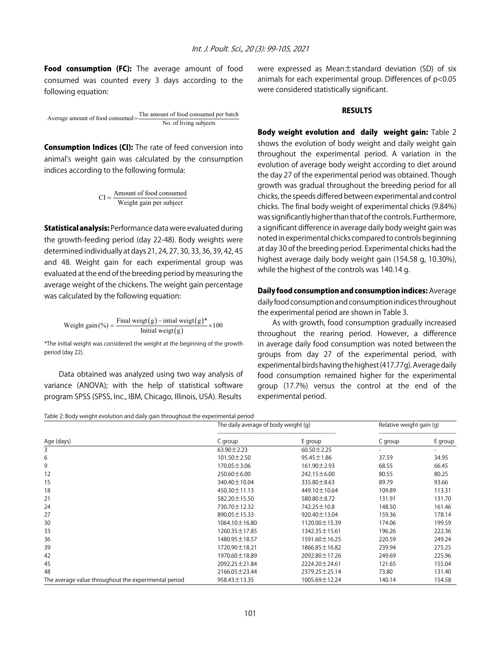Food consumption (FC): The average amount of food consumed was counted every 3 days according to the following equation:

Average amount of food consumed  $=$  The amount of food consumed per batch  $\overline{N}$  No. of living subjects

Consumption Indices (CI): The rate of feed conversion into animal's weight gain was calculated by the consumption indices according to the following formula:

$$
CI = \frac{Amount of food consumed}{Weight gain per subject}
$$

**Statistical analysis:** Performance data were evaluated during the growth-feeding period (day 22-48). Body weights were determined individually at days 21, 24, 27, 30, 33, 36, 39, 42, 45 and 48. Weight gain for each experimental group was evaluated at the end of the breeding period by measuring the average weight of the chickens. The weight gain percentage was calculated by the following equation:

Weight gain (%) = 
$$
\frac{\text{Final weight}(g) - \text{initial weight}(g)^*}{\text{Initial weight}(g)} \times 100
$$

\*The initial weight was considered the weight at the beginning of the growth period (day 22).

Data obtained was analyzed using two way analysis of variance (ANOVA); with the help of statistical software program SPSS (SPSS, Inc., IBM, Chicago, Illinois, USA). Results

were expressed as Mean±standard deviation (SD) of six animals for each experimental group. Differences of p<0.05 were considered statistically significant.

#### RESULTS

Body weight evolution and daily weight gain: Table 2 shows the evolution of body weight and daily weight gain throughout the experimental period. A variation in the evolution of average body weight according to diet around the day 27 of the experimental period was obtained. Though growth was gradual throughout the breeding period for all chicks, the speeds differed between experimental and control chicks. The final body weight of experimental chicks (9.84%) was significantly higher than that of the controls. Furthermore, a significant difference in average daily body weight gain was noted in experimental chicks compared to controls beginning at day 30 of the breeding period. Experimental chicks had the highest average daily body weight gain (154.58 g, 10.30%), while the highest of the controls was 140.14 g.

Daily food consumption and consumption indices: Average daily food consumption and consumption indices throughout the experimental period are shown in Table 3.

As with growth, food consumption gradually increased throughout the rearing period. However, a difference in average daily food consumption was noted between the groups from day 27 of the experimental period, with experimental birds having the highest (417.77g). Average daily food consumption remained higher for the experimental group (17.7%) versus the control at the end of the experimental period.

Table 2: Body weight evolution and daily gain throughout the experimental period

|                                                      | The daily average of body weight (g) |                  | Relative weight gain (g) |         |
|------------------------------------------------------|--------------------------------------|------------------|--------------------------|---------|
| Age (days)                                           | C group                              | E group          | C group                  | E group |
| 3                                                    | $63.90 \pm 2.23$                     | $60.50 \pm 2.25$ |                          |         |
| 6                                                    | $101.50 \pm 2.50$                    | $95.45 \pm 1.86$ | 37.59                    | 34.95   |
| 9                                                    | $170.05 \pm 3.06$                    | 161.90±2.93      | 68.55                    | 66.45   |
| 12                                                   | 250.60 ± 6.00                        | 242.15 ± 6.00    | 80.55                    | 80.25   |
| 15                                                   | 340.40 ± 10.04                       | 335.80±8.63      | 89.79                    | 93.66   |
| 18                                                   | 450.30±11.13                         | 449.10±10.64     | 109.89                   | 113.31  |
| 21                                                   | 582.20 ± 15.50                       | 580.80 ± 8.72    | 131.91                   | 131.70  |
| 24                                                   | 730.70 ± 12.32                       | 742.25 ± 10.8    | 148.50                   | 161.46  |
| 27                                                   | 890.05 ± 15.33                       | 920.40±13.04     | 159.36                   | 178.14  |
| 30                                                   | 1064.10 ± 16.80                      | 1120.00 ± 15.39  | 174.06                   | 199.59  |
| 33                                                   | 1260.35 ± 17.85                      | 1342.35 ± 15.61  | 196.26                   | 222.36  |
| 36                                                   | 1480.95 ± 18.57                      | 1591.60 ± 16.25  | 220.59                   | 249.24  |
| 39                                                   | 1720.90 ± 18.21                      | 1866.85 ± 16.82  | 239.94                   | 275.25  |
| 42                                                   | 1970.60 ± 18.89                      | 2092.80 ± 17.26  | 249.69                   | 225.96  |
| 45                                                   | 2092.25 ± 21.84                      | 2224.20 ± 24.61  | 121.65                   | 155.04  |
| 48                                                   | 2166.05 ± 23.44                      | 2379.25 ± 25.14  | 73.80                    | 131.40  |
| The average value throughout the experimental period | $958.43 \pm 13.35$                   | 1005.69 ± 12.24  | 140.14                   | 154.58  |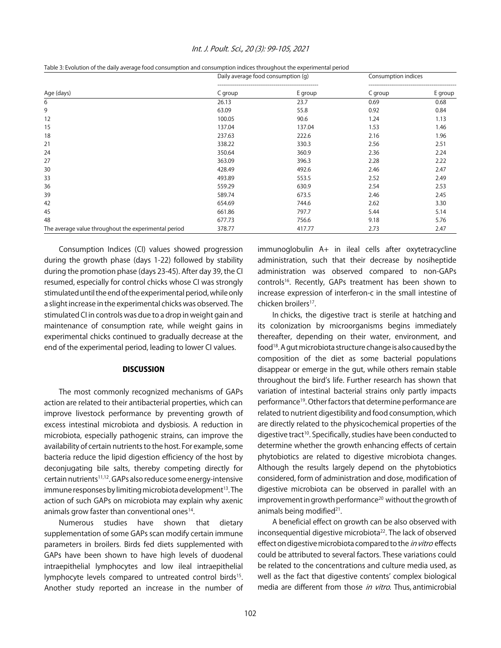| Int. J. Poult. Sci., 20 (3): 99-105, 2021 |
|-------------------------------------------|
|-------------------------------------------|

| Table 3: Evolution of the daily average food consumption and consumption indices throughout the experimental period |  |
|---------------------------------------------------------------------------------------------------------------------|--|
|---------------------------------------------------------------------------------------------------------------------|--|

|                                                      | Daily average food consumption (q) |         | Consumption indices |         |
|------------------------------------------------------|------------------------------------|---------|---------------------|---------|
| Age (days)                                           | C group                            | E group | C group             | E group |
| 6                                                    | 26.13                              | 23.7    | 0.69                | 0.68    |
| 9                                                    | 63.09                              | 55.8    | 0.92                | 0.84    |
| 12                                                   | 100.05                             | 90.6    | 1.24                | 1.13    |
| 15                                                   | 137.04                             | 137.04  | 1.53                | 1.46    |
| 18                                                   | 237.63                             | 222.6   | 2.16                | 1.96    |
| 21                                                   | 338.22                             | 330.3   | 2.56                | 2.51    |
| 24                                                   | 350.64                             | 360.9   | 2.36                | 2.24    |
| 27                                                   | 363.09                             | 396.3   | 2.28                | 2.22    |
| 30                                                   | 428.49                             | 492.6   | 2.46                | 2.47    |
| 33                                                   | 493.89                             | 553.5   | 2.52                | 2.49    |
| 36                                                   | 559.29                             | 630.9   | 2.54                | 2.53    |
| 39                                                   | 589.74                             | 673.5   | 2.46                | 2.45    |
| 42                                                   | 654.69                             | 744.6   | 2.62                | 3.30    |
| 45                                                   | 661.86                             | 797.7   | 5.44                | 5.14    |
| 48                                                   | 677.73                             | 756.6   | 9.18                | 5.76    |
| The average value throughout the experimental period | 378.77                             | 417.77  | 2.73                | 2.47    |

Consumption Indices (CI) values showed progression during the growth phase (days 1-22) followed by stability during the promotion phase (days 23-45). After day 39, the CI resumed, especially for control chicks whose CI was strongly stimulated until the end of the experimental period, while only a slight increase in the experimental chicks was observed. The stimulated CI in controls was due to a drop in weight gain and maintenance of consumption rate, while weight gains in experimental chicks continued to gradually decrease at the end of the experimental period, leading to lower CI values.

#### **DISCUSSION**

The most commonly recognized mechanisms of GAPs action are related to their antibacterial properties, which can improve livestock performance by preventing growth of excess intestinal microbiota and dysbiosis. A reduction in microbiota, especially pathogenic strains, can improve the availability of certain nutrients to the host. For example, some bacteria reduce the lipid digestion efficiency of the host by deconjugating bile salts, thereby competing directly for certain nutrients<sup>11,12</sup>. GAPs also reduce some energy-intensive immune responses by limiting microbiota development $^{13}$ . The action of such GAPs on microbiota may explain why axenic animals grow faster than conventional ones<sup>14</sup>.

Numerous studies have shown that dietary supplementation of some GAPs scan modify certain immune parameters in broilers. Birds fed diets supplemented with GAPs have been shown to have high levels of duodenal intraepithelial lymphocytes and low ileal intraepithelial lymphocyte levels compared to untreated control birds<sup>15</sup>. Another study reported an increase in the number of immunoglobulin A+ in ileal cells after oxytetracycline administration, such that their decrease by nosiheptide administration was observed compared to non-GAPs controls<sup>16</sup>. Recently, GAPs treatment has been shown to increase expression of interferon-c in the small intestine of chicken broilers<sup>17</sup>.

In chicks, the digestive tract is sterile at hatching and its colonization by microorganisms begins immediately thereafter, depending on their water, environment, and food18. A gut microbiota structure change is also caused by the composition of the diet as some bacterial populations disappear or emerge in the gut, while others remain stable throughout the bird's life. Further research has shown that variation of intestinal bacterial strains only partly impacts performance19. Other factors that determine performance are related to nutrient digestibility and food consumption, which are directly related to the physicochemical properties of the digestive tract<sup>10</sup>. Specifically, studies have been conducted to determine whether the growth enhancing effects of certain phytobiotics are related to digestive microbiota changes. Although the results largely depend on the phytobiotics considered, form of administration and dose, modification of digestive microbiota can be observed in parallel with an improvement in growth performance<sup>20</sup> without the growth of animals being modified<sup>21</sup>.

A beneficial effect on growth can be also observed with inconsequential digestive microbiota<sup>22</sup>. The lack of observed effect on digestive microbiota compared to the *in vitro* effects could be attributed to several factors. These variations could be related to the concentrations and culture media used, as well as the fact that digestive contents' complex biological media are different from those in vitro. Thus, antimicrobial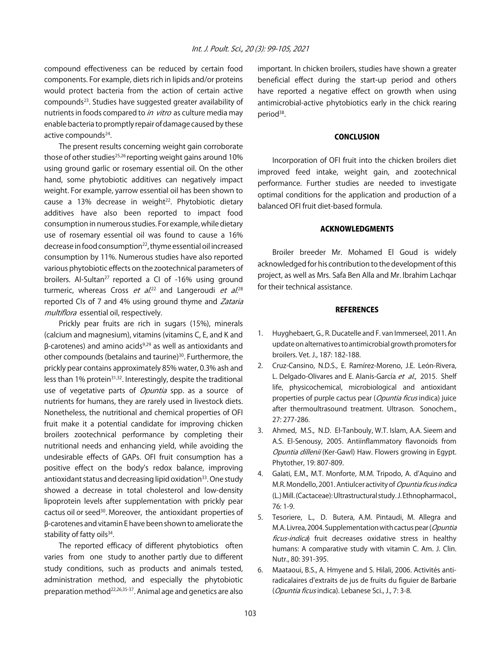compound effectiveness can be reduced by certain food components. For example, diets rich in lipids and/or proteins would protect bacteria from the action of certain active compounds<sup>23</sup>. Studies have suggested greater availability of nutrients in foods compared to *in vitro* as culture media may enable bacteria to promptly repair of damage caused by these active compounds<sup>24</sup>.

The present results concerning weight gain corroborate those of other studies<sup>25,26</sup> reporting weight gains around 10% using ground garlic or rosemary essential oil. On the other hand, some phytobiotic additives can negatively impact weight. For example, yarrow essential oil has been shown to cause a 13% decrease in weight $2^2$ . Phytobiotic dietary additives have also been reported to impact food consumption in numerous studies. For example, while dietary use of rosemary essential oil was found to cause a 16% decrease in food consumption<sup>22</sup>, thyme essential oil increased consumption by 11%. Numerous studies have also reported various phytobiotic effects on the zootechnical parameters of broilers. Al-Sultan<sup>27</sup> reported a CI of -16% using ground turmeric, whereas Cross *et al.*<sup>22</sup> and Langeroudi *et al.*<sup>28</sup> reported CIs of 7 and 4% using ground thyme and Zataria multiflora essential oil, respectively.

Prickly pear fruits are rich in sugars (15%), minerals (calcium and magnesium), vitamins (vitamins C, E, and K and  $\beta$ -carotenes) and amino acids<sup>9,29</sup> as well as antioxidants and other compounds (betalains and taurine)<sup>30</sup>. Furthermore, the prickly pear contains approximately 85% water, 0.3% ash and less than 1% protein<sup>31,32</sup>. Interestingly, despite the traditional use of vegetative parts of *Opuntia* spp. as a source of nutrients for humans, they are rarely used in livestock diets. Nonetheless, the nutritional and chemical properties of OFI fruit make it a potential candidate for improving chicken broilers zootechnical performance by completing their nutritional needs and enhancing yield, while avoiding the undesirable effects of GAPs. OFI fruit consumption has a positive effect on the body's redox balance, improving antioxidant status and decreasing lipid oxidation<sup>33</sup>. One study showed a decrease in total cholesterol and low-density lipoprotein levels after supplementation with prickly pear cactus oil or seed<sup>30</sup>. Moreover, the antioxidant properties of \$-carotenes and vitamin E have been shown to ameliorate the stability of fatty oils<sup>34</sup>.

The reported efficacy of different phytobiotics often varies from one study to another partly due to different study conditions, such as products and animals tested, administration method, and especially the phytobiotic preparation method22,26,35-37. Animal age and genetics are also

important. In chicken broilers, studies have shown a greater beneficial effect during the start-up period and others have reported a negative effect on growth when using antimicrobial-active phytobiotics early in the chick rearing period<sup>38</sup>.

#### **CONCLUSION**

Incorporation of OFI fruit into the chicken broilers diet improved feed intake, weight gain, and zootechnical performance. Further studies are needed to investigate optimal conditions for the application and production of a balanced OFI fruit diet-based formula.

#### ACKNOWLEDGMENTS

Broiler breeder Mr. Mohamed El Goud is widely acknowledged for his contribution to the development of this project, as well as Mrs. Safa Ben Alla and Mr. Ibrahim Lachqar for their technical assistance.

#### **REFERENCES**

- 1. Huyghebaert, G., R. Ducatelle and F. van Immerseel, 2011. An update on alternatives to antimicrobial growth promoters for broilers. Vet. J., 187: 182-188.
- 2. Cruz-Cansino, N.D.S., E. Ramírez-Moreno, J.E. León-Rivera, L. Delgado-Olivares and E. Alanís-García et al., 2015. Shelf life, physicochemical, microbiological and antioxidant properties of purple cactus pear (*Opuntia ficus* indica) juice after thermoultrasound treatment. Ultrason. Sonochem., 27: 277-286.
- 3. Ahmed, M.S., N.D. El-Tanbouly, W.T. Islam, A.A. Sieem and A.S. El-Senousy, 2005. Antiinflammatory flavonoids from Opuntia dillenii (Ker-Gawl) Haw. Flowers growing in Egypt. Phytother, 19: 807-809.
- 4. Galati, E.M., M.T. Monforte, M.M. Tripodo, A. d'Aquino and M.R. Mondello, 2001. Antiulcer activity of Opuntia ficus indica (L.) Mill. (Cactaceae): Ultrastructural study. J. Ethnopharmacol., 76: 1-9.
- 5. Tesoriere, L., D. Butera, A.M. Pintaudi, M. Allegra and M.A. Livrea, 2004. Supplementation with cactus pear (Opuntia ficus-indica) fruit decreases oxidative stress in healthy humans: A comparative study with vitamin C. Am. J. Clin. Nutr., 80: 391-395.
- 6. Maataoui, B.S., A. Hmyene and S. Hilali, 2006. Activités antiradicalaires d'extraits de jus de fruits du figuier de Barbarie (Opuntia ficus indica). Lebanese Sci., J., 7: 3-8.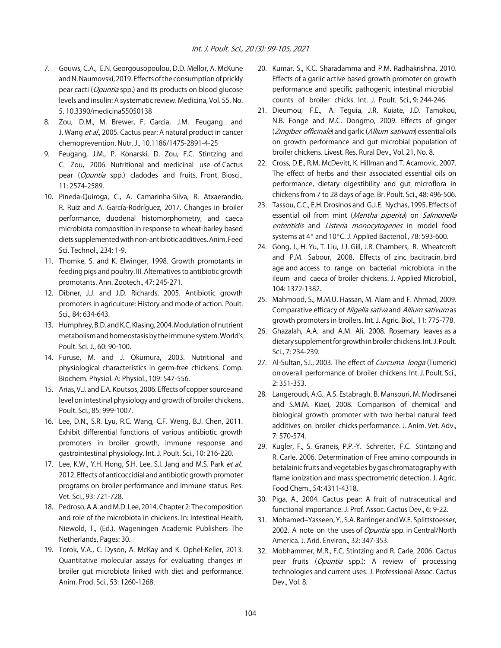- 7. Gouws, C.A., E.N. Georgousopoulou, D.D. Mellor, A. McKune and N. Naumovski, 2019. Effects of the consumption of prickly pear cacti (*Opuntia* spp.) and its products on blood glucose levels and insulin: A systematic review. Medicina, Vol. 55, No. 5, 10.3390/medicina55050138
- 8. Zou, D.M., M. Brewer, F. Garcia, J.M. Feugang and J. Wang et al., 2005. Cactus pear: A natural product in cancer chemoprevention. Nutr. J., 10.1186/1475-2891-4-25
- 9. Feugang, J.M., P. Konarski, D. Zou, F.C. Stintzing and C. Zou, 2006. Nutritional and medicinal use of Cactus pear (Opuntia spp.) cladodes and fruits. Front. Biosci., 11: 2574-2589.
- 10. Pineda-Quiroga, C., A. Camarinha-Silva, R. Atxaerandio, R. Ruiz and A. García-Rodríguez, 2017. Changes in broiler performance, duodenal histomorphometry, and caeca microbiota composition in response to wheat-barley based diets supplemented with non-antibiotic additives. Anim. Feed Sci. Technol., 234: 1-9.
- 11. Thomke, S. and K. Elwinger, 1998. Growth promotants in feeding pigs and poultry. III. Alternatives to antibiotic growth promotants. Ann. Zootech., 47: 245-271.
- 12. Dibner, J.J. and J.D. Richards, 2005. Antibiotic growth promoters in agriculture: History and mode of action. Poult. Sci., 84: 634-643.
- 13. Humphrey, B.D. and K.C. Klasing, 2004. Modulation of nutrient metabolism and homeostasis by the immune system. World's Poult. Sci. J., 60: 90-100.
- 14. Furuse, M. and J. Okumura, 2003. Nutritional and physiological characteristics in germ-free chickens. Comp. Biochem. Physiol. A: Physiol., 109: 547-556.
- 15. Arias, V.J. and E.A. Koutsos, 2006. Effects of copper source and level on intestinal physiology and growth of broiler chickens. Poult. Sci., 85: 999-1007.
- 16. Lee, D.N., S.R. Lyu, R.C. Wang, C.F. Weng, B.J. Chen, 2011. Exhibit differential functions of various antibiotic growth promoters in broiler growth, immune response and gastrointestinal physiology. Int. J. Poult. Sci., 10: 216-220.
- 17. Lee, K.W., Y.H. Hong, S.H. Lee, S.I. Jang and M.S. Park et al., 2012. Effects of anticoccidial and antibiotic growth promoter programs on broiler performance and immune status. Res. Vet. Sci., 93: 721-728.
- 18. Pedroso, A.A. and M.D. Lee, 2014. Chapter 2: The composition and role of the microbiota in chickens. In: Intestinal Health, Niewold, T., (Ed.). Wageningen Academic Publishers The Netherlands, Pages: 30.
- 19. Torok, V.A., C. Dyson, A. McKay and K. Ophel-Keller, 2013. Quantitative molecular assays for evaluating changes in broiler gut microbiota linked with diet and performance. Anim. Prod. Sci., 53: 1260-1268.
- 20. Kumar, S., K.C. Sharadamma and P.M. Radhakrishna, 2010. Effects of a garlic active based growth promoter on growth performance and specific pathogenic intestinal microbial counts of broiler chicks. Int. J. Poult. Sci., 9: 244-246.
- 21. Dieumou, F.E., A. Teguia, J.R. Kuiate, J.D. Tamokou, N.B. Fonge and M.C. Dongmo, 2009. Effects of ginger (Zingiber officinale) and garlic (Allium sativum) essential oils on growth performance and gut microbial population of broiler chickens. Livest. Res. Rural Dev., Vol. 21, No. 8.
- 22. Cross, D.E., R.M. McDevitt, K. Hillman and T. Acamovic, 2007. The effect of herbs and their associated essential oils on performance, dietary digestibility and gut microflora in chickens from 7 to 28 days of age. Br. Poult. Sci., 48: 496-506.
- 23. Tassou, C.C., E.H. Drosinos and G.J.E. Nychas, 1995. Effects of essential oil from mint (Mentha piperita) on Salmonella enteritidis and Listeria monocytogenes in model food systems at  $4^{\circ}$  and 10 $^{\circ}$ C. J. Applied Bacteriol., 78: 593-600.
- 24. Gong, J., H. Yu, T. Liu, J.J. Gill, J.R. Chambers, R. Wheatcroft and P.M. Sabour, 2008. Effects of zinc bacitracin, bird age and access to range on bacterial microbiota in the ileum and caeca of broiler chickens. J. Applied Microbiol., 104: 1372-1382.
- 25. Mahmood, S., M.M.U. Hassan, M. Alam and F. Ahmad, 2009. Comparative efficacy of Nigella sativa and Allium sativum as growth promoters in broilers. Int. J. Agric. Biol., 11: 775-778.
- 26. Ghazalah, A.A. and A.M. Ali, 2008. Rosemary leaves as a dietary supplement for growth in broiler chickens. Int. J. Poult. Sci., 7: 234-239.
- 27. Al-Sultan, S.I., 2003. The effect of *Curcuma longa* (Tumeric) on overall performance of broiler chickens. Int. J. Poult. Sci., 2: 351-353.
- 28. Langeroudi, A.G., A.S. Estabragh, B. Mansouri, M. Modirsanei and S.M.M. Kiaei, 2008. Comparison of chemical and biological growth promoter with two herbal natural feed additives on broiler chicks performance. J. Anim. Vet. Adv., 7: 570-574.
- 29. Kugler, F., S. Graneis, P.P.-Y. Schreiter, F.C. Stintzing and R. Carle, 2006. Determination of Free amino compounds in betalainic fruits and vegetables by gas chromatography with flame ionization and mass spectrometric detection. J. Agric. Food Chem., 54: 4311-4318.
- 30. Piga, A., 2004. Cactus pear: A fruit of nutraceutical and functional importance. J. Prof. Assoc. Cactus Dev., 6: 9-22.
- 31. Mohamed–Yasseen, Y., S.A. Barringer and W.E. Splittstoesser, 2002. A note on the uses of *Opuntia* spp. in Central/North America. J. Arid. Environ., 32: 347-353.
- 32. Mobhammer, M.R., F.C. Stintzing and R. Carle, 2006. Cactus pear fruits (Opuntia spp.): A review of processing technologies and current uses. J. Professional Assoc. Cactus Dev., Vol. 8.